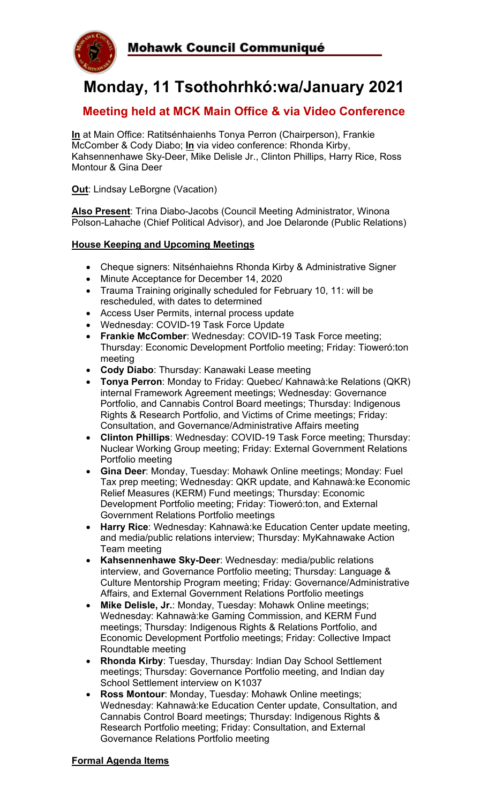

# **Monday, 11 Tsothohrhkó:wa/January 2021**

## **Meeting held at MCK Main Office & via Video Conference**

**In** at Main Office: Ratitsénhaienhs Tonya Perron (Chairperson), Frankie McComber & Cody Diabo; **In** via video conference: Rhonda Kirby, Kahsennenhawe Sky-Deer, Mike Delisle Jr., Clinton Phillips, Harry Rice, Ross Montour & Gina Deer

**Out**: Lindsay LeBorgne (Vacation)

**Also Present**: Trina Diabo-Jacobs (Council Meeting Administrator, Winona Polson-Lahache (Chief Political Advisor), and Joe Delaronde (Public Relations)

### **House Keeping and Upcoming Meetings**

- Cheque signers: Nitsénhaiehns Rhonda Kirby & Administrative Signer
- Minute Acceptance for December 14, 2020
- Trauma Training originally scheduled for February 10, 11: will be rescheduled, with dates to determined
- Access User Permits, internal process update
- Wednesday: COVID-19 Task Force Update
- **Frankie McComber**: Wednesday: COVID-19 Task Force meeting; Thursday: Economic Development Portfolio meeting; Friday: Tioweró:ton meeting
- **Cody Diabo**: Thursday: Kanawaki Lease meeting
- **Tonya Perron**: Monday to Friday: Quebec/ Kahnawà:ke Relations (QKR) internal Framework Agreement meetings; Wednesday: Governance Portfolio, and Cannabis Control Board meetings; Thursday: Indigenous Rights & Research Portfolio, and Victims of Crime meetings; Friday: Consultation, and Governance/Administrative Affairs meeting
- **Clinton Phillips**: Wednesday: COVID-19 Task Force meeting; Thursday: Nuclear Working Group meeting; Friday: External Government Relations Portfolio meeting
- **Gina Deer**: Monday, Tuesday: Mohawk Online meetings; Monday: Fuel Tax prep meeting; Wednesday: QKR update, and Kahnawà:ke Economic Relief Measures (KERM) Fund meetings; Thursday: Economic Development Portfolio meeting; Friday: Tioweró:ton, and External Government Relations Portfolio meetings
- **Harry Rice**: Wednesday: Kahnawà:ke Education Center update meeting, and media/public relations interview; Thursday: MyKahnawake Action Team meeting
- **Kahsennenhawe Sky-Deer**: Wednesday: media/public relations interview, and Governance Portfolio meeting; Thursday: Language & Culture Mentorship Program meeting; Friday: Governance/Administrative Affairs, and External Government Relations Portfolio meetings
- **Mike Delisle, Jr.**: Monday, Tuesday: Mohawk Online meetings; Wednesday: Kahnawà:ke Gaming Commission, and KERM Fund meetings; Thursday: Indigenous Rights & Relations Portfolio, and Economic Development Portfolio meetings; Friday: Collective Impact Roundtable meeting
- **Rhonda Kirby**: Tuesday, Thursday: Indian Day School Settlement meetings; Thursday: Governance Portfolio meeting, and Indian day School Settlement interview on K1037
- **Ross Montour**: Monday, Tuesday: Mohawk Online meetings; Wednesday: Kahnawà:ke Education Center update, Consultation, and Cannabis Control Board meetings; Thursday: Indigenous Rights & Research Portfolio meeting; Friday: Consultation, and External Governance Relations Portfolio meeting